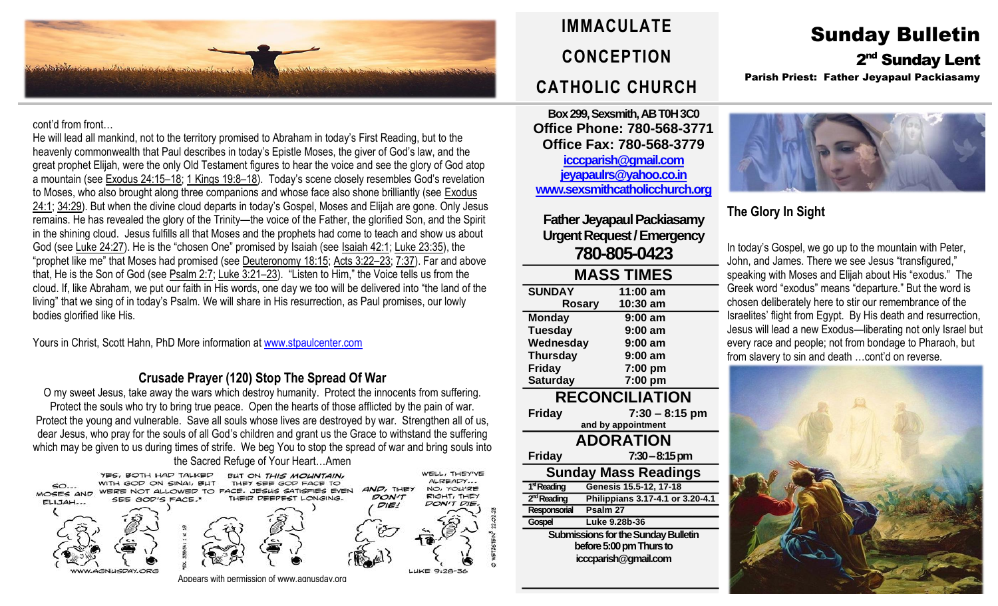

cont'd from front…

He will lead all mankind, not to the territory promised to Abraham in today's First Reading, but to the heavenly commonwealth that Paul describes in today's Epistle Moses, the giver of God's law, and the great prophet Elijah, were the only Old Testament figures to hear the voice and see the glory of God atop a mountain (see [Exodus](https://biblia.com/bible/rsvce/Exod%2024.15%E2%80%9318) 24:15–18; 1 [Kings](https://biblia.com/bible/rsvce/1%20Kings%2019.8%E2%80%9318) 19:8–18). Today's scene closely resembles God's revelation to Moses, who also brought along three companions and whose face also shone brilliantly (see [Exodus](https://biblia.com/bible/rsvce/Exod%2024.1) [24:1;](https://biblia.com/bible/rsvce/Exod%2024.1) [34:29](https://biblia.com/bible/rsvce/Exodus%2034.29)). But when the divine cloud departs in today's Gospel, Moses and Elijah are gone. Only Jesus remains. He has revealed the glory of the Trinity—the voice of the Father, the glorified Son, and the Spirit in the shining cloud. Jesus fulfills all that Moses and the prophets had come to teach and show us about God (see Luke [24:27](https://biblia.com/bible/rsvce/Luke%2024.27)). He is the "chosen One" promised by Isaiah (see [Isaiah](https://biblia.com/bible/rsvce/Isa%2042.1) 42:1; Luke [23:35\)](https://biblia.com/bible/rsvce/Luke%2023.35), the "prophet like me" that Moses had promised (see [Deuteronomy](https://biblia.com/bible/rsvce/Deut%2018.15) 18:15; Acts [3:22](https://biblia.com/bible/rsvce/Acts%203.22%E2%80%9323)–23; [7:37\)](https://biblia.com/bible/rsvce/Acts%207.37). Far and above that, He is the Son of God (see [Psalm](https://biblia.com/bible/rsvce/Ps%202.7) 2:7; [Luke](https://biblia.com/bible/rsvce/Luke%203.21%E2%80%9323) 3:21–23). "Listen to Him," the Voice tells us from the cloud. If, like Abraham, we put our faith in His words, one day we too will be delivered into "the land of the living" that we sing of in today's Psalm. We will share in His resurrection, as Paul promises, our lowly bodies glorified like His.

Yours in Christ, Scott Hahn, PhD More information a[t www.stpaulcenter.com](http://www.stpaulcenter.com/)

#### **Crusade Prayer (120) Stop The Spread Of War**

O my sweet Jesus, take away the wars which destroy humanity. Protect the innocents from suffering. Protect the souls who try to bring true peace. Open the hearts of those afflicted by the pain of war. Protect the young and vulnerable. Save all souls whose lives are destroyed by war. Strengthen all of us, dear Jesus, who pray for the souls of all God's children and grant us the Grace to withstand the suffering which may be given to us during times of strife. We beg You to stop the spread of war and bring souls into



# **IMMACULATE CONCEPTION CATHOLIC CHURCH**

**Box 299, Sexsmith, AB T0H 3C0 Office Phone: 780-568-3771 Office Fax: 780-568-3779 [icccparish@gmail.com](mailto:icccparish@gmail.com) [jeyapaulrs@yahoo.co.in](mailto:jeyapaulrs@yahoo.co.in) [www.sexsmithcatholicchurch.org](http://www.sexsmithcatholicchurch.org/)**

**Father Jeyapaul Packiasamy Urgent Request/Emergency 780-805-0423**

| <b>MASS TIMES</b>                   |                                  |  |  |  |
|-------------------------------------|----------------------------------|--|--|--|
| <b>SUNDAY</b>                       | 11:00 am                         |  |  |  |
| <b>Rosary</b>                       | 10:30 am                         |  |  |  |
| <b>Monday</b>                       | 9:00 am                          |  |  |  |
| <b>Tuesday</b>                      | $9:00$ am                        |  |  |  |
| Wednesday                           | 9:00 am                          |  |  |  |
| <b>Thursday</b>                     | 9:00 am                          |  |  |  |
| <b>Friday</b>                       | 7:00 pm                          |  |  |  |
| <b>Saturday</b>                     | 7:00 pm                          |  |  |  |
| <b>RECONCILIATION</b>               |                                  |  |  |  |
| <b>Friday</b>                       | $7:30 - 8:15$ pm                 |  |  |  |
|                                     | and by appointment               |  |  |  |
| <b>ADORATION</b>                    |                                  |  |  |  |
| <b>Friday</b>                       | 7:30 – 8:15 pm                   |  |  |  |
| Sunday Mass Readings                |                                  |  |  |  |
| 1 <sup>st</sup> Reading             | Genesis 15.5-12, 17-18           |  |  |  |
| 2 <sup>nd</sup> Reading             | Philippians 3.17-4.1 or 3.20-4.1 |  |  |  |
| Psalm 27<br>Responsorial            |                                  |  |  |  |
| Gospel                              | Luke 9.28b-36                    |  |  |  |
| Submissions for the Sunday Bulletin |                                  |  |  |  |
| before 5:00 pm Thurs to             |                                  |  |  |  |
| icccparish@gmail.com                |                                  |  |  |  |
|                                     |                                  |  |  |  |

# Sunday Bulletin 2<sup>nd</sup> Sunday Lent Parish Priest: Father Jeyapaul Packiasamy



**The Glory In Sight**

In today's Gospel, we go up to the mountain with Peter, John, and James. There we see Jesus "transfigured," speaking with Moses and Elijah about His "exodus." The Greek word "exodus" means "departure." But the word is chosen deliberately here to stir our remembrance of the Israelites' flight from Egypt. By His death and resurrection, Jesus will lead a new Exodus—liberating not only Israel but every race and people; not from bondage to Pharaoh, but from slavery to sin and death …cont'd on reverse.